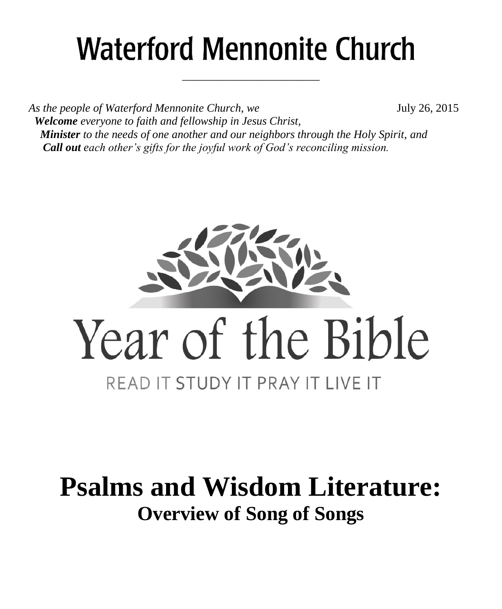# **Waterford Mennonite Church**

\_\_\_\_\_\_\_\_\_\_\_\_\_\_\_\_\_\_\_\_\_\_\_\_

As the people of Waterford Mennonite Church, we **July 26, 2015**  *Welcome everyone to faith and fellowship in Jesus Christ, Minister to the needs of one another and our neighbors through the Holy Spirit, and Call out each other's gifts for the joyful work of God's reconciling mission.*



# **Psalms and Wisdom Literature: Overview of Song of Songs**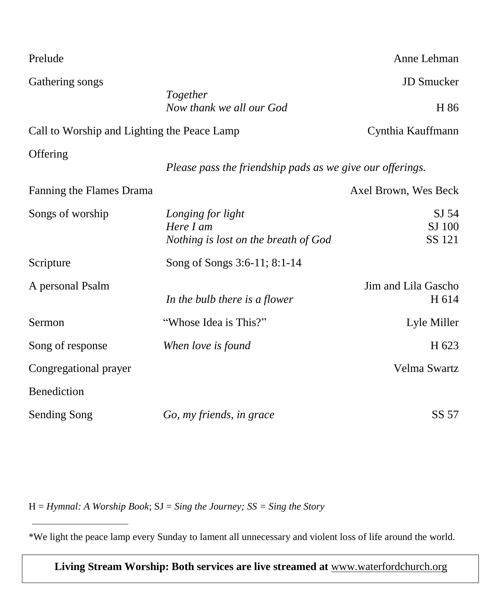| Prelude                                     |                                                                        | Anne Lehman                  |
|---------------------------------------------|------------------------------------------------------------------------|------------------------------|
| Gathering songs                             | Together<br>Now thank we all our God                                   | <b>JD</b> Smucker<br>H 86    |
| Call to Worship and Lighting the Peace Lamp |                                                                        | Cynthia Kauffmann            |
| Offering                                    | Please pass the friendship pads as we give our offerings.              |                              |
| Fanning the Flames Drama                    |                                                                        | Axel Brown, Wes Beck         |
| Songs of worship                            | Longing for light<br>Here I am<br>Nothing is lost on the breath of God | SJ 54<br>SJ 100<br>SS 121    |
| Scripture                                   | Song of Songs 3:6-11; 8:1-14                                           |                              |
| A personal Psalm                            | In the bulb there is a flower                                          | Jim and Lila Gascho<br>H 614 |
| Sermon                                      | "Whose Idea is This?"                                                  | Lyle Miller                  |
| Song of response                            | When love is found                                                     | H 623                        |
| Congregational prayer                       |                                                                        | Velma Swartz                 |
| Benediction                                 |                                                                        |                              |
| <b>Sending Song</b>                         | Go, my friends, in grace                                               | SS 57                        |

H = *Hymnal: A Worship Book*; SJ = *Sing the Journey; SS = Sing the Story*

\*We light the peace lamp every Sunday to lament all unnecessary and violent loss of life around the world.

**Living Stream Worship: Both services are live streamed at** [www.waterfordchurch.org](http://www.waterfordchurch.org/)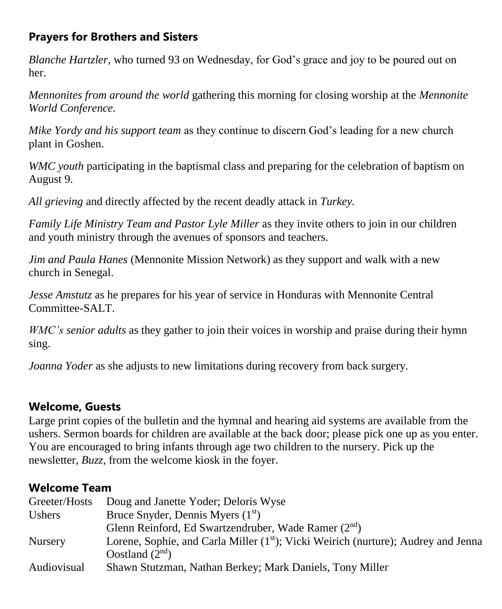### **Prayers for Brothers and Sisters**

*Blanche Hartzler,* who turned 93 on Wednesday, for God's grace and joy to be poured out on her.

*Mennonites from around the world* gathering this morning for closing worship at the *Mennonite World Conference.* 

*Mike Yordy and his support team* as they continue to discern God's leading for a new church plant in Goshen.

*WMC youth* participating in the baptismal class and preparing for the celebration of baptism on August 9.

*All grieving* and directly affected by the recent deadly attack in *Turkey.* 

*Family Life Ministry Team and Pastor Lyle Miller* as they invite others to join in our children and youth ministry through the avenues of sponsors and teachers.

*Jim and Paula Hanes* (Mennonite Mission Network) as they support and walk with a new church in Senegal.

*Jesse Amstutz* as he prepares for his year of service in Honduras with Mennonite Central Committee-SALT.

*WMC's senior adults* as they gather to join their voices in worship and praise during their hymn sing.

*Joanna Yoder* as she adjusts to new limitations during recovery from back surgery.

#### **Welcome, Guests**

Large print copies of the bulletin and the hymnal and hearing aid systems are available from the ushers. Sermon boards for children are available at the back door; please pick one up as you enter. You are encouraged to bring infants through age two children to the nursery. Pick up the newsletter, *Buzz,* from the welcome kiosk in the foyer.

#### **Welcome Team**

| Greeter/Hosts  | Doug and Janette Yoder; Deloris Wyse                                                           |
|----------------|------------------------------------------------------------------------------------------------|
| Ushers         | Bruce Snyder, Dennis Myers $(1st)$                                                             |
|                | Glenn Reinford, Ed Swartzendruber, Wade Ramer $(2^{nd})$                                       |
| <b>Nursery</b> | Lorene, Sophie, and Carla Miller (1 <sup>st</sup> ); Vicki Weirich (nurture); Audrey and Jenna |
|                | Oostland $(2nd)$                                                                               |
| Audiovisual    | Shawn Stutzman, Nathan Berkey; Mark Daniels, Tony Miller                                       |